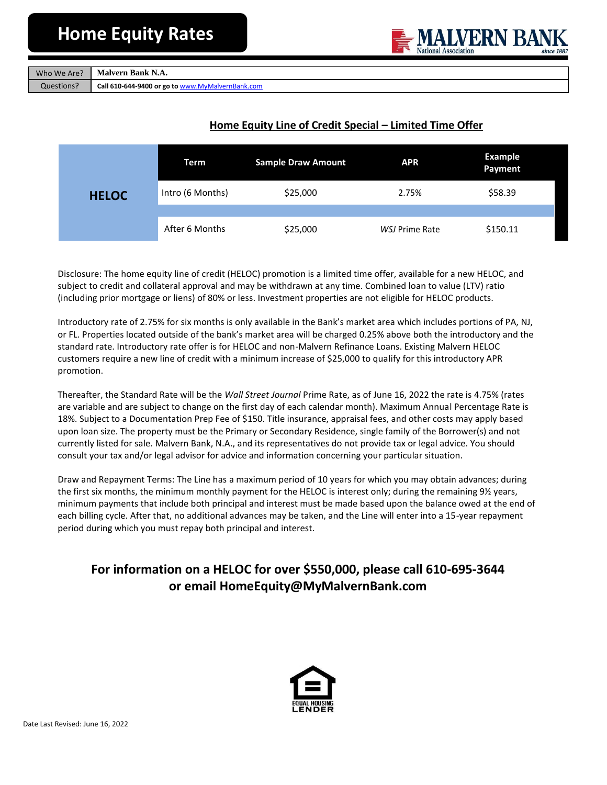

| Who We Are? | Malvern Bank N.A.                                |
|-------------|--------------------------------------------------|
| Questions?  | Call 610-644-9400 or go to www.MyMalvernBank.com |

## **Home Equity Line of Credit Special – Limited Time Offer**

|              | Term             | <b>Sample Draw Amount</b> | <b>APR</b>     | Example<br>Payment |
|--------------|------------------|---------------------------|----------------|--------------------|
| <b>HELOC</b> | Intro (6 Months) | \$25,000                  | 2.75%          | \$58.39            |
|              |                  |                           |                |                    |
|              | After 6 Months   | \$25,000                  | WSJ Prime Rate | \$150.11           |

Disclosure: The home equity line of credit (HELOC) promotion is a limited time offer, available for a new HELOC, and subject to credit and collateral approval and may be withdrawn at any time. Combined loan to value (LTV) ratio (including prior mortgage or liens) of 80% or less. Investment properties are not eligible for HELOC products.

Introductory rate of 2.75% for six months is only available in the Bank's market area which includes portions of PA, NJ, or FL. Properties located outside of the bank's market area will be charged 0.25% above both the introductory and the standard rate. Introductory rate offer is for HELOC and non-Malvern Refinance Loans. Existing Malvern HELOC customers require a new line of credit with a minimum increase of \$25,000 to qualify for this introductory APR promotion.

Thereafter, the Standard Rate will be the *Wall Street Journal* Prime Rate, as of June 16, 2022 the rate is 4.75% (rates are variable and are subject to change on the first day of each calendar month). Maximum Annual Percentage Rate is 18%. Subject to a Documentation Prep Fee of \$150. Title insurance, appraisal fees, and other costs may apply based upon loan size. The property must be the Primary or Secondary Residence, single family of the Borrower(s) and not currently listed for sale. Malvern Bank, N.A., and its representatives do not provide tax or legal advice. You should consult your tax and/or legal advisor for advice and information concerning your particular situation.

Draw and Repayment Terms: The Line has a maximum period of 10 years for which you may obtain advances; during the first six months, the minimum monthly payment for the HELOC is interest only; during the remaining 9½ years, minimum payments that include both principal and interest must be made based upon the balance owed at the end of each billing cycle. After that, no additional advances may be taken, and the Line will enter into a 15-year repayment period during which you must repay both principal and interest.

# **For information on a HELOC for over \$550,000, please call 610-695-3644 or email HomeEquity@MyMalvernBank.com**

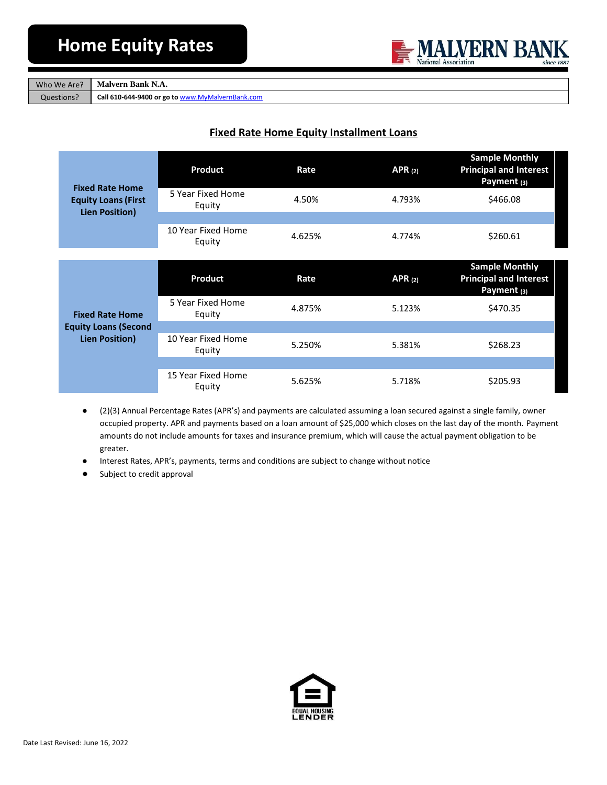

|            | Who We Are? Malvern Bank N.A. |
|------------|-------------------------------|
| Questions? | $C_2$ U 610 644 9400 or go    |

to [www.MyMalvernBank.com](http://www.mymalvernbank.com/)

### **Fixed Rate Home Equity Installment Loans**

| <b>Fixed Rate Home</b><br><b>Equity Loans (First</b><br><b>Lien Position)</b> | Product                      | Rate   | APR $(2)$ | <b>Sample Monthly</b><br><b>Principal and Interest</b><br>Payment (3)            |
|-------------------------------------------------------------------------------|------------------------------|--------|-----------|----------------------------------------------------------------------------------|
|                                                                               | 5 Year Fixed Home<br>Equity  | 4.50%  | 4.793%    | \$466.08                                                                         |
|                                                                               |                              |        |           |                                                                                  |
|                                                                               | 10 Year Fixed Home<br>Equity | 4.625% | 4.774%    | \$260.61                                                                         |
|                                                                               |                              |        |           |                                                                                  |
|                                                                               | <b>Product</b>               | Rate   | APR $(2)$ | <b>Sample Monthly</b><br><b>Principal and Interest</b><br>Payment <sub>(3)</sub> |
| <b>Fixed Rate Home</b>                                                        | 5 Year Fixed Home<br>Equity  | 4.875% | 5.123%    | \$470.35                                                                         |
| <b>Equity Loans (Second</b>                                                   |                              |        |           |                                                                                  |
| <b>Lien Position)</b>                                                         | 10 Year Fixed Home<br>Equity | 5.250% | 5.381%    | \$268.23                                                                         |
|                                                                               |                              |        |           |                                                                                  |
|                                                                               | 15 Year Fixed Home<br>Equity | 5.625% | 5.718%    | \$205.93                                                                         |

- (2)(3) Annual Percentage Rates (APR's) and payments are calculated assuming a loan secured against a single family, owner occupied property. APR and payments based on a loan amount of \$25,000 which closes on the last day of the month. Payment amounts do not include amounts for taxes and insurance premium, which will cause the actual payment obligation to be greater.
- Interest Rates, APR's, payments, terms and conditions are subject to change without notice
- Subject to credit approval